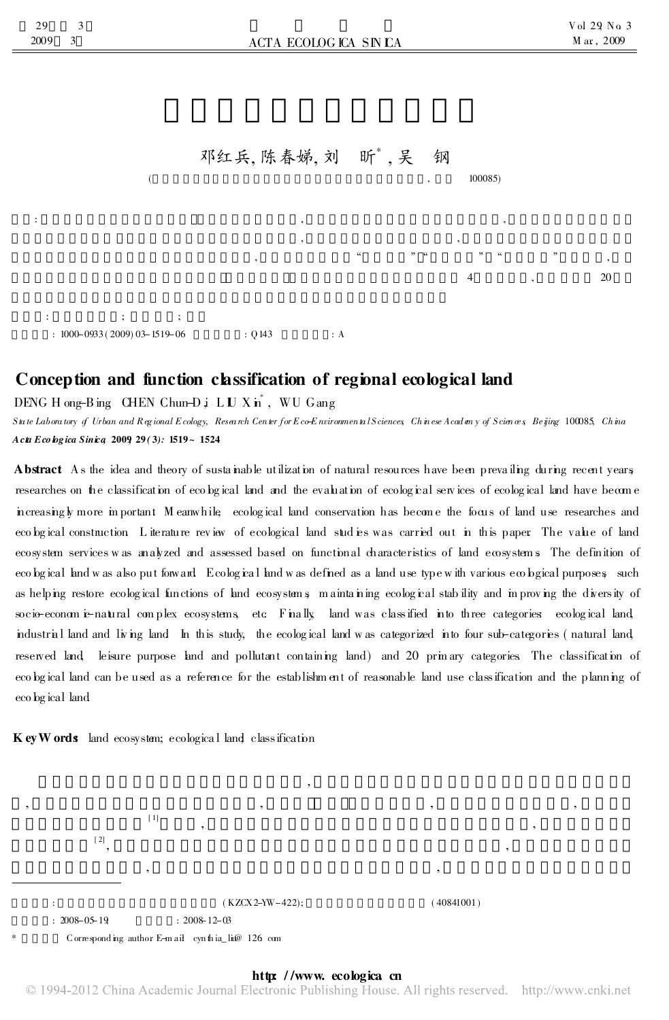

## Conception and function classification of regional ecological land

DENG H ong-B ing CHEN Chun-D  $\mathbf{j}$  L U X in<sup>\*</sup>, WU G ang

3

 $\mathbf{3}$ 

29

2009

Suite Laboratory of Urban and Regional Ecology, Research Center for Eco-Environmental Sciences Chinese Academy of Sciences Beijing 100085, China  $A c t t E c o b g i c a Simic a 2009 29(3): 1519 \sim 1524$ 

Abstract As the idea and theory of sustainable utilization of natural resources have been prevailing during recent years researches on the classification of ecological land and the evaluation of ecological services of ecological land have become increasingly more in portant M eanwhile ecological land conservation has become the focus of land use researches and ecobgical construction. Literature review of ecological land studies was carried out in this paper. The value of land ecosystem services was analyzed and assessed based on functional characteristics of land ecosystems. The definition of ecobgical knd was also put forward Ecological knd was defined as a land use type with various ecobgical purposes such as helping restore ecological functions of land ecosystems maintaining ecological stability and in proving the diversity of socio-economic-natural complex ecosystems, etc. Finally land was classified into three categories ecological land industrial land and living land In this study, the ecological land was categorized into four sub-categories (natural land reserved land leisure purpose land and pollutant containing land) and 20 prinary categories. The classification of ecobgical land can be used as a reference for the establishment of reasonable land use classification and the planning of eco bg ical land

Key Words land ecosystem; ecological land classification

 $[1]$  $[2]$  $(KZCX 2-YW-422)$ :  $: 2008 - 05 - 19$  $: 2008 - 12 - 03$ Corresponding author E-mail cynthia lice 126 com

### http://www.ecologica.cn

 $(40841001)$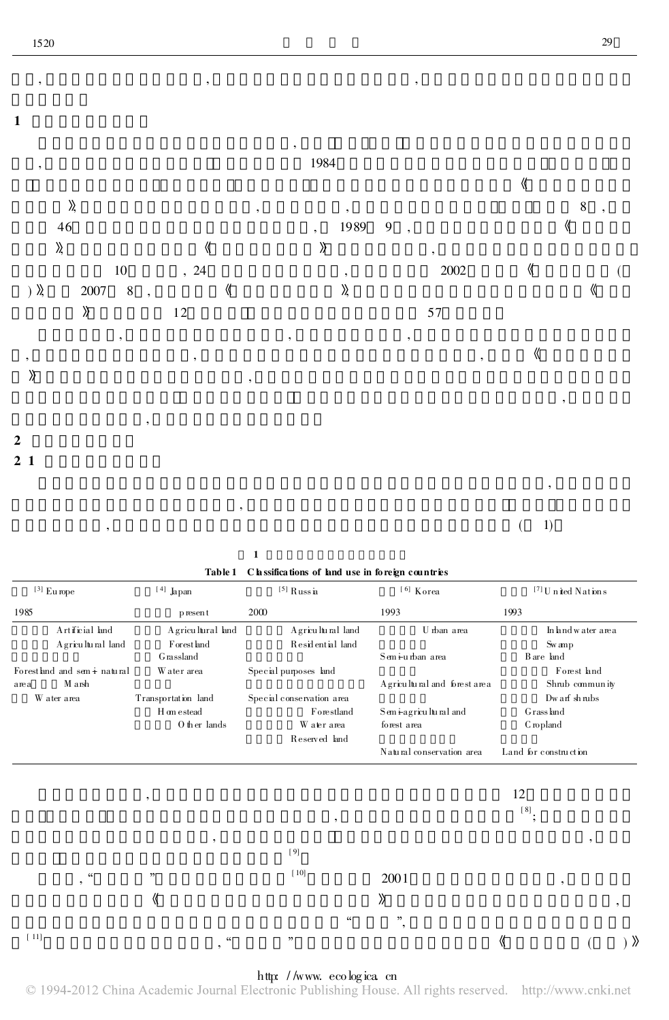

,  $(1)$ 

1 Table 1 C lassifications of land use in foreign countries

| $^{\lbrack 3\rbrack}$ Europe                              | $^{\lceil\,4\rceil}$ Japan | $^{\lbrack 5\rbrack}$ Russ ia | $^{\rm [6]}$ Korea                | ${}^{[7]}$ U n ited N at ion s |  |
|-----------------------------------------------------------|----------------------------|-------------------------------|-----------------------------------|--------------------------------|--|
| 1985                                                      | p resent                   | 2000                          | 1993                              | 1993                           |  |
| Artificial land                                           | A gricultural land         | A gricultural land            | U rban area                       | In land w ater area            |  |
| A gricultural land                                        | Forestland                 | Residential land              |                                   | Sw amp                         |  |
|                                                           | <b>G</b> rassland          |                               | Semi-urban area                   | B are land                     |  |
| Forestland and sem i natural                              | Water area                 | Special purposes land         |                                   | Forest land                    |  |
| M arsh<br>area                                            |                            |                               | A gricultural and forest area     | Shrub community                |  |
| W ater area                                               | Transportation land        | Special conservation area     |                                   | Dw arf shrubs                  |  |
|                                                           | H on estead                | Forestland                    | Semi-agricultural and             | Grassland                      |  |
|                                                           | O ther lands               | W ater area                   | forest area                       | C ropland                      |  |
|                                                           |                            | Reserved land                 |                                   |                                |  |
|                                                           |                            |                               | Natural conservation area         | Land for construction          |  |
|                                                           |                            |                               |                                   |                                |  |
|                                                           |                            |                               |                                   | 12                             |  |
|                                                           | ,                          |                               |                                   |                                |  |
|                                                           |                            | $^\bullet$                    |                                   | $^{[8]};$                      |  |
|                                                           |                            |                               |                                   |                                |  |
|                                                           | $^\bullet$                 | $[9]$                         |                                   | ,                              |  |
|                                                           |                            |                               |                                   |                                |  |
| $\boldsymbol{\varsigma}\boldsymbol{\varsigma}$<br>$\cdot$ | $, ,$                      | [10]                          | 2001                              | $^\circ$                       |  |
|                                                           |                            |                               |                                   |                                |  |
|                                                           | $\langle\!\langle$         |                               | $\rangle\!\rangle$                | $^\bullet$                     |  |
|                                                           |                            | $\mathsf{cc}$                 | $, ,$<br>$\overline{\phantom{a}}$ |                                |  |
| $[11]$                                                    | 66                         | , 2                           |                                   | 《<br>$\rangle$                 |  |
|                                                           | ,                          |                               |                                   |                                |  |

http://www.ecologica.cn<br>© 1994-2012 China Academic Journal Electronic Publishing House. All rights reserved. http://www.cnki.net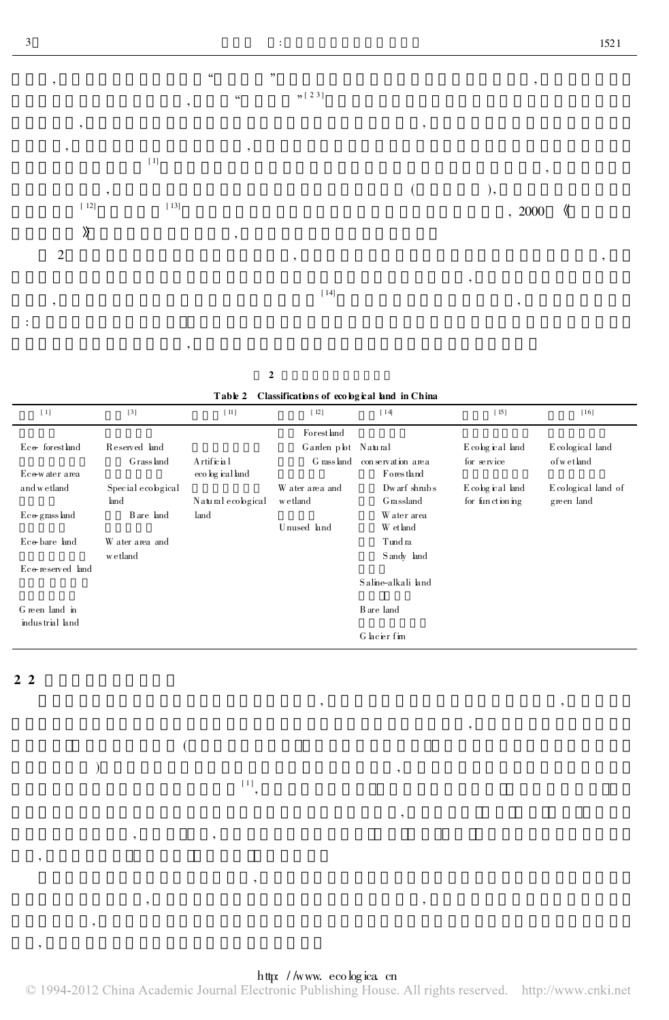

2

(

, ,

) and the set of  $\alpha$  ,  $\beta$  $^{\left[1\right]},$ 

,

, ,

|  | Table 2 Classifications of ecological land in China |  |  |
|--|-----------------------------------------------------|--|--|
|--|-----------------------------------------------------|--|--|

| $[1]$                       | $[3]$              | [11]               | $[12]$             | $[14]$                      | $[15]$          | $[16]$             |
|-----------------------------|--------------------|--------------------|--------------------|-----------------------------|-----------------|--------------------|
|                             |                    |                    | Forest land        |                             |                 |                    |
| $Ec$ of forest land         | Reserved land      |                    | Garden pbt Natural |                             | Ecological land | E cological land   |
|                             | Grass land         | Artificial         |                    | Grassland conservation area | for service     | of wet land        |
| Eco-water area              |                    | eco bg ical land   |                    | <b>Forestland</b>           |                 |                    |
| and wetland                 | Special ecological |                    | W ater area and    | $Dw$ arf $\;$ shnub s       | Ecological land | Ecological land of |
|                             | land               | Natural ecological | w etland           | Grassland                   | for functioning | green land         |
| $E_{\rm C}\odot$ grass land | B are land         | land               |                    | Water area                  |                 |                    |
|                             |                    |                    | Unused land        | W et land                   |                 |                    |
| $Ec$ o bare land            | W ater area and    |                    |                    | Tundra                      |                 |                    |
|                             | w etland           |                    |                    | Sandy land                  |                 |                    |
| Eco-reserved land           |                    |                    |                    |                             |                 |                    |
|                             |                    |                    |                    | Saline-alkali land          |                 |                    |
|                             |                    |                    |                    |                             |                 |                    |
| G reen land in              |                    |                    |                    | B are land                  |                 |                    |
| industrial land             |                    |                    |                    |                             |                 |                    |
|                             |                    |                    |                    | G lacier fim                |                 |                    |

, ,

,

,

2. 2

,

,

,



http://www.ecologica.cn<br>© 1994-2012 China Academic Journal Electronic Publishing House. All rights reserved. http://www.cnki.net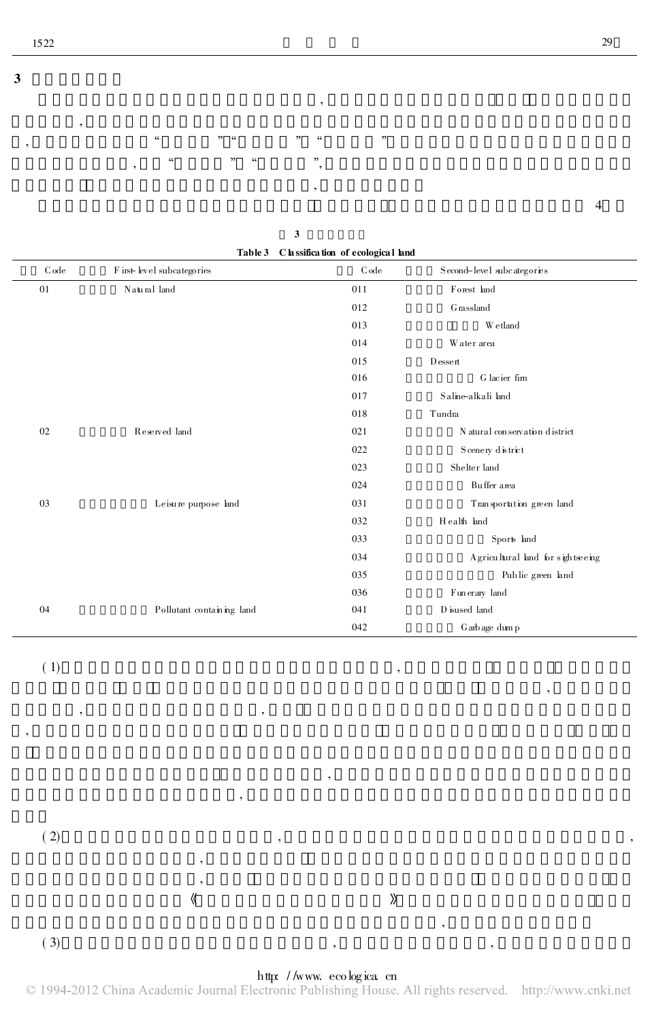

 $\mathbf{3}$ 

|         |                                     | Table 3 C lassification of ecological land |                                                                                          |
|---------|-------------------------------------|--------------------------------------------|------------------------------------------------------------------------------------------|
| $C$ ode | ${\rm F}$ irst- level subcategories | C ode                                      | Second-level subcategories                                                               |
| 01      | Natural land                        | 011                                        | Forest land                                                                              |
|         |                                     | 012                                        | Grassland                                                                                |
|         |                                     | 013                                        | W etland                                                                                 |
|         |                                     | 014                                        | Water area                                                                               |
|         |                                     | 015                                        | Dessert                                                                                  |
|         |                                     | 016                                        | G lacier fim                                                                             |
|         |                                     | 017                                        | Saline-alkali land                                                                       |
|         |                                     | 018                                        | Tundra                                                                                   |
| 02      | Reserved land                       | 021                                        | N atural conservation district                                                           |
|         |                                     | 022                                        | ${\bf S}$ cenery ${\bf d} \, {\bf \dot{\bf s}} \, {\bf tr} {\bf \dot{\bf c}} \, {\bf t}$ |
|         |                                     | 023                                        | Shelter land                                                                             |
|         |                                     | 024                                        | Buffer area                                                                              |
| 03      | Leisure purpose land                | 031                                        | Transportation green land                                                                |
|         |                                     | 032                                        | Health land                                                                              |
|         |                                     | 033                                        | Sports land                                                                              |
|         |                                     | 034                                        | A gricultural land for sightseeing                                                       |
|         |                                     | 035                                        | Public green land                                                                        |
|         |                                     | 036                                        | Fun erary land                                                                           |
| 04      | Pollutant containing land           | 041                                        | D isused land                                                                            |
|         |                                     | 042                                        | G arb age dum p                                                                          |

 $(1)$ 

 $(2)$ 

 $(3)$ 

### http://www.ecologica.cn

 $,$ 

 $\rangle\!\rangle$ 

 $\langle\!\langle$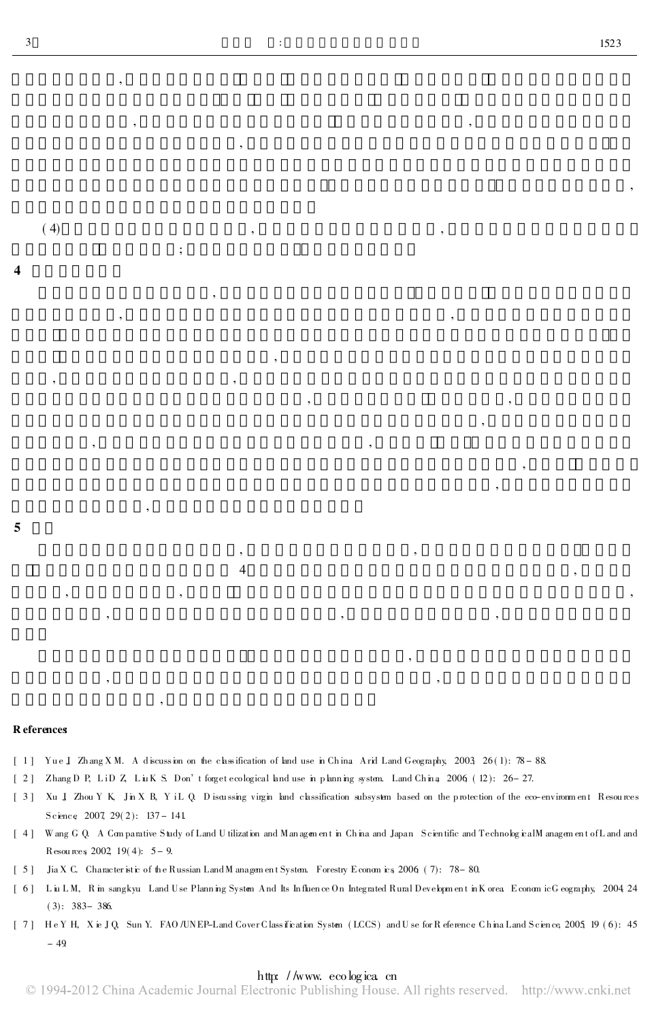$(4)$ 

# R eferences

5

[1] Yue J Zhang XM. A discussion on the classification of land use in China Arid Land Geography, 2003, 26(1): 78-88.

 $\cdot$ 

- [2] Zhang D P, LiD Z, LuK S. Don't forget ecological land use in planning system. Land China 2006 (12): 26-27.
- [3] Xu J Zhou Y K, Jin X B, Y iL Q. Discussing virgin land classification subsystem based on the protection of the eco-environment Resources Science 2007 29(2):  $137 - 141$
- [4] Wang G Q. A Comparative Study of Land U tilization and Management in China and Japan Scientific and TechnologicalManagement of Land and Resources 2002, 19(4):  $5 - 9$ .
- [5] Jia X C. Character stic of the Russian Land M anagement System. Forestry Economics 2006 (7): 78-80.

 $\overline{4}$ 

- [6] LuLM, Rim sangkyu Land Use Planning System And Its Influence On Integrated Rural Development in Korea EconomicGeography, 2004 24  $(3): 383 - 386.$
- [7] HeYH, Xie JQ, Sun Y. FAO/UNEP-Land Cover Class fication System (LCCS) and U se for R eference China Land Science, 2005, 19 (6): 45  $-49$

#### http://www.ecologica.cn